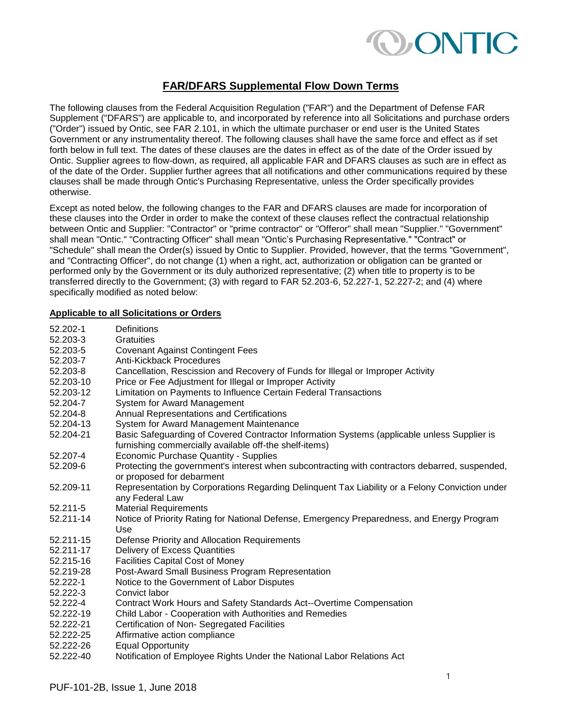

# **FAR/DFARS Supplemental Flow Down Terms**

The following clauses from the Federal Acquisition Regulation ("FAR") and the Department of Defense FAR Supplement ("DFARS") are applicable to, and incorporated by reference into all Solicitations and purchase orders ("Order") issued by Ontic, see FAR 2.101, in which the ultimate purchaser or end user is the United States Government or any instrumentality thereof. The following clauses shall have the same force and effect as if set forth below in full text. The dates of these clauses are the dates in effect as of the date of the Order issued by Ontic. Supplier agrees to flow-down, as required, all applicable FAR and DFARS clauses as such are in effect as of the date of the Order. Supplier further agrees that all notifications and other communications required by these clauses shall be made through Ontic's Purchasing Representative, unless the Order specifically provides otherwise.

Except as noted below, the following changes to the FAR and DFARS clauses are made for incorporation of these clauses into the Order in order to make the context of these clauses reflect the contractual relationship between Ontic and Supplier: "Contractor" or "prime contractor" or "Offeror" shall mean "Supplier." "Government" shall mean "Ontic." "Contracting Officer" shall mean "Ontic's Purchasing Representative." "Contract" or "Schedule" shall mean the Order(s) issued by Ontic to Supplier. Provided, however, that the terms "Government", and "Contracting Officer", do not change (1) when a right, act, authorization or obligation can be granted or performed only by the Government or its duly authorized representative; (2) when title to property is to be transferred directly to the Government; (3) with regard to FAR 52.203-6, 52.227-1, 52.227-2; and (4) where specifically modified as noted below:

## **Applicable to all Solicitations or Orders**

| 52.202-1  | <b>Definitions</b>                                                                                                                                    |
|-----------|-------------------------------------------------------------------------------------------------------------------------------------------------------|
| 52.203-3  | Gratuities                                                                                                                                            |
| 52.203-5  | <b>Covenant Against Contingent Fees</b>                                                                                                               |
| 52.203-7  | Anti-Kickback Procedures                                                                                                                              |
| 52.203-8  | Cancellation, Rescission and Recovery of Funds for Illegal or Improper Activity                                                                       |
| 52.203-10 | Price or Fee Adjustment for Illegal or Improper Activity                                                                                              |
| 52.203-12 | Limitation on Payments to Influence Certain Federal Transactions                                                                                      |
| 52.204-7  | System for Award Management                                                                                                                           |
| 52.204-8  | Annual Representations and Certifications                                                                                                             |
| 52.204-13 | System for Award Management Maintenance                                                                                                               |
| 52.204-21 | Basic Safeguarding of Covered Contractor Information Systems (applicable unless Supplier is<br>furnishing commercially available off-the shelf-items) |
| 52.207-4  | Economic Purchase Quantity - Supplies                                                                                                                 |
| 52.209-6  | Protecting the government's interest when subcontracting with contractors debarred, suspended,                                                        |
|           | or proposed for debarment                                                                                                                             |
| 52.209-11 | Representation by Corporations Regarding Delinquent Tax Liability or a Felony Conviction under<br>any Federal Law                                     |
| 52.211-5  | <b>Material Requirements</b>                                                                                                                          |
| 52.211-14 | Notice of Priority Rating for National Defense, Emergency Preparedness, and Energy Program                                                            |
|           | Use                                                                                                                                                   |
| 52.211-15 | Defense Priority and Allocation Requirements                                                                                                          |
| 52.211-17 | Delivery of Excess Quantities                                                                                                                         |
| 52.215-16 | <b>Facilities Capital Cost of Money</b>                                                                                                               |
| 52.219-28 | Post-Award Small Business Program Representation                                                                                                      |
| 52.222-1  | Notice to the Government of Labor Disputes                                                                                                            |
| 52.222-3  | Convict labor                                                                                                                                         |
| 52.222-4  | Contract Work Hours and Safety Standards Act--Overtime Compensation                                                                                   |
| 52.222-19 | Child Labor - Cooperation with Authorities and Remedies                                                                                               |
| 52.222-21 | Certification of Non-Segregated Facilities                                                                                                            |
| 52.222-25 | Affirmative action compliance                                                                                                                         |
| 52.222-26 | <b>Equal Opportunity</b>                                                                                                                              |
| 52.222-40 | Notification of Employee Rights Under the National Labor Relations Act                                                                                |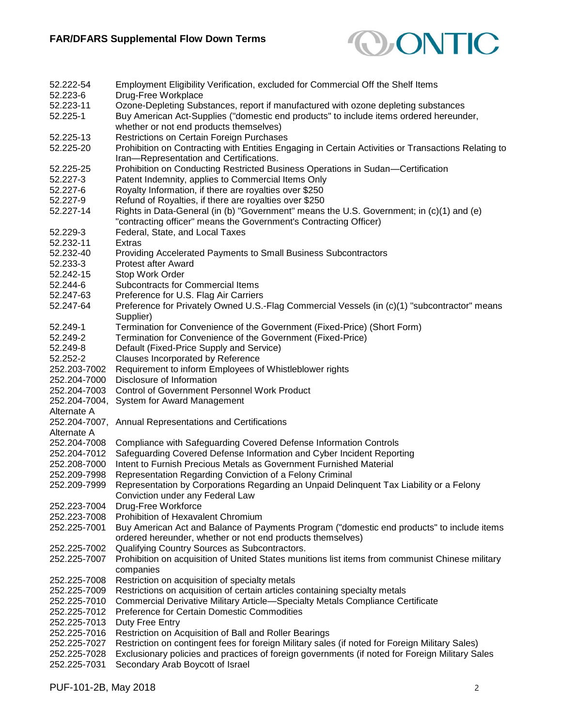

| 52.222-54     | Employment Eligibility Verification, excluded for Commercial Off the Shelf Items                                                                              |
|---------------|---------------------------------------------------------------------------------------------------------------------------------------------------------------|
| 52.223-6      | Drug-Free Workplace                                                                                                                                           |
| 52.223-11     | Ozone-Depleting Substances, report if manufactured with ozone depleting substances                                                                            |
| 52.225-1      | Buy American Act-Supplies ("domestic end products" to include items ordered hereunder,<br>whether or not end products themselves)                             |
| 52.225-13     | Restrictions on Certain Foreign Purchases                                                                                                                     |
| 52.225-20     | Prohibition on Contracting with Entities Engaging in Certain Activities or Transactions Relating to                                                           |
|               | Iran-Representation and Certifications.                                                                                                                       |
|               |                                                                                                                                                               |
| 52.225-25     | Prohibition on Conducting Restricted Business Operations in Sudan-Certification                                                                               |
| 52.227-3      | Patent Indemnity, applies to Commercial Items Only                                                                                                            |
| 52.227-6      | Royalty Information, if there are royalties over \$250                                                                                                        |
| 52.227-9      | Refund of Royalties, if there are royalties over \$250                                                                                                        |
| 52.227-14     | Rights in Data-General (in (b) "Government" means the U.S. Government; in (c)(1) and (e)<br>"contracting officer" means the Government's Contracting Officer) |
| 52.229-3      | Federal, State, and Local Taxes                                                                                                                               |
| 52.232-11     | Extras                                                                                                                                                        |
| 52.232-40     | Providing Accelerated Payments to Small Business Subcontractors                                                                                               |
| 52.233-3      | <b>Protest after Award</b>                                                                                                                                    |
| 52.242-15     | Stop Work Order                                                                                                                                               |
| 52.244-6      | Subcontracts for Commercial Items                                                                                                                             |
| 52.247-63     | Preference for U.S. Flag Air Carriers                                                                                                                         |
| 52.247-64     | Preference for Privately Owned U.S.-Flag Commercial Vessels (in (c)(1) "subcontractor" means<br>Supplier)                                                     |
| 52.249-1      | Termination for Convenience of the Government (Fixed-Price) (Short Form)                                                                                      |
| 52.249-2      | Termination for Convenience of the Government (Fixed-Price)                                                                                                   |
| 52.249-8      | Default (Fixed-Price Supply and Service)                                                                                                                      |
| 52.252-2      | Clauses Incorporated by Reference                                                                                                                             |
| 252.203-7002  | Requirement to inform Employees of Whistleblower rights                                                                                                       |
| 252.204-7000  | Disclosure of Information                                                                                                                                     |
| 252.204-7003  | <b>Control of Government Personnel Work Product</b>                                                                                                           |
|               |                                                                                                                                                               |
| 252.204-7004, | System for Award Management                                                                                                                                   |
| Alternate A   |                                                                                                                                                               |
| 252.204-7007, | Annual Representations and Certifications                                                                                                                     |
| Alternate A   |                                                                                                                                                               |
| 252.204-7008  | Compliance with Safeguarding Covered Defense Information Controls                                                                                             |
| 252.204-7012  | Safeguarding Covered Defense Information and Cyber Incident Reporting                                                                                         |
| 252.208-7000  | Intent to Furnish Precious Metals as Government Furnished Material                                                                                            |
| 252.209-7998  | Representation Regarding Conviction of a Felony Criminal                                                                                                      |
| 252.209-7999  | Representation by Corporations Regarding an Unpaid Delinquent Tax Liability or a Felony<br>Conviction under any Federal Law                                   |
| 252.223-7004  | Drug-Free Workforce                                                                                                                                           |
| 252.223-7008  | Prohibition of Hexavalent Chromium                                                                                                                            |
| 252.225-7001  | Buy American Act and Balance of Payments Program ("domestic end products" to include items<br>ordered hereunder, whether or not end products themselves)      |
| 252.225-7002  | Qualifying Country Sources as Subcontractors.                                                                                                                 |
| 252.225-7007  | Prohibition on acquisition of United States munitions list items from communist Chinese military<br>companies                                                 |
| 252.225-7008  | Restriction on acquisition of specialty metals                                                                                                                |
| 252.225-7009  | Restrictions on acquisition of certain articles containing specialty metals                                                                                   |
| 252.225-7010  | Commercial Derivative Military Article-Specialty Metals Compliance Certificate                                                                                |
| 252.225-7012  | Preference for Certain Domestic Commodities                                                                                                                   |
| 252.225-7013  | Duty Free Entry                                                                                                                                               |
| 252.225-7016  | Restriction on Acquisition of Ball and Roller Bearings                                                                                                        |
| 252.225-7027  | Restriction on contingent fees for foreign Military sales (if noted for Foreign Military Sales)                                                               |
| 252.225-7028  | Exclusionary policies and practices of foreign governments (if noted for Foreign Military Sales                                                               |
| 252.225-7031  | Secondary Arab Boycott of Israel                                                                                                                              |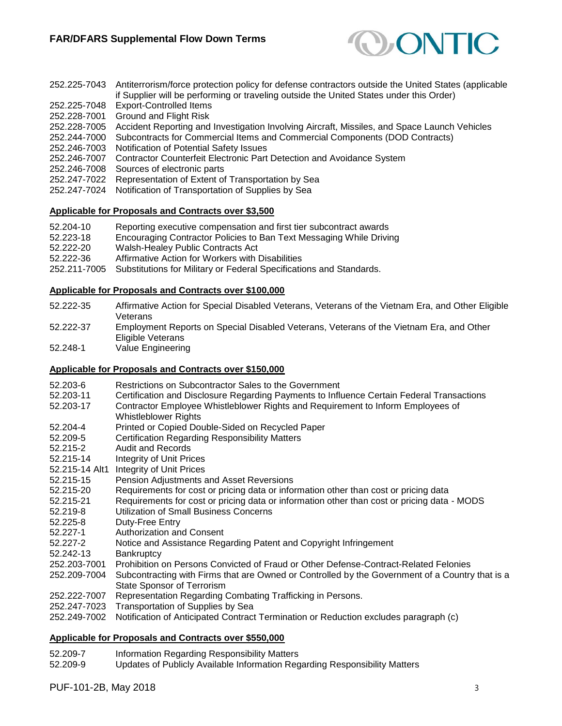

| 252.225-7043 | Antiterrorism/force protection policy for defense contractors outside the United States (applicable |
|--------------|-----------------------------------------------------------------------------------------------------|
|              | if Supplier will be performing or traveling outside the United States under this Order)             |
| 252.225-7048 | <b>Export-Controlled Items</b>                                                                      |
| 252.228-7001 | Ground and Flight Risk                                                                              |
| 252.228-7005 | Accident Reporting and Investigation Involving Aircraft, Missiles, and Space Launch Vehicles        |
| 252.244-7000 | Subcontracts for Commercial Items and Commercial Components (DOD Contracts)                         |
| 252.246-7003 | Notification of Potential Safety Issues                                                             |
| 252.246-7007 | Contractor Counterfeit Electronic Part Detection and Avoidance System                               |
| 252.246-7008 | Sources of electronic parts                                                                         |
| 252.247-7022 | Representation of Extent of Transportation by Sea                                                   |
| 252.247-7024 | Notification of Transportation of Supplies by Sea                                                   |
|              |                                                                                                     |

## **Applicable for Proposals and Contracts over \$3,500**

- 52.204-10 Reporting executive compensation and first tier subcontract awards
- 52.223-18 Encouraging Contractor Policies to Ban Text Messaging While Driving
- 52.222-20 Walsh-Healey Public Contracts Act
- 52.222-36 Affirmative Action for Workers with Disabilities
- 252.211-7005 Substitutions for Military or Federal Specifications and Standards.

#### **Applicable for Proposals and Contracts over \$100,000**

- 52.222-35 Affirmative Action for Special Disabled Veterans, Veterans of the Vietnam Era, and Other Eligible **Veterans**
- 52.222-37 Employment Reports on Special Disabled Veterans, Veterans of the Vietnam Era, and Other Eligible Veterans
- 52.248-1 Value Engineering

## **Applicable for Proposals and Contracts over \$150,000**

- 52.203-6 Restrictions on Subcontractor Sales to the Government
- 52.203-11 Certification and Disclosure Regarding Payments to Influence Certain Federal Transactions
- 52.203-17 Contractor Employee Whistleblower Rights and Requirement to Inform Employees of Whistleblower Rights
- 52.204-4 Printed or Copied Double-Sided on Recycled Paper
- 52.209-5 Certification Regarding Responsibility Matters
- 52.215-2 Audit and Records
- 52.215-14 Integrity of Unit Prices
- 52.215-14 Alt1 Integrity of Unit Prices
- 52.215-15 Pension Adjustments and Asset Reversions
- 52.215-20 Requirements for cost or pricing data or information other than cost or pricing data
- 52.215-21 Requirements for cost or pricing data or information other than cost or pricing data MODS
- 52.219-8 Utilization of Small Business Concerns
- 52.225-8 Duty-Free Entry
- 52.227-1 Authorization and Consent
- 52.227-2 Notice and Assistance Regarding Patent and Copyright Infringement
- 52.242-13 Bankruptcy
- 252.203-7001 Prohibition on Persons Convicted of Fraud or Other Defense-Contract-Related Felonies
- 252.209-7004 Subcontracting with Firms that are Owned or Controlled by the Government of a Country that is a State Sponsor of Terrorism
- 252.222-7007 Representation Regarding Combating Trafficking in Persons.
- 252.247-7023 Transportation of Supplies by Sea
- 252.249-7002 Notification of Anticipated Contract Termination or Reduction excludes paragraph (c)

#### **Applicable for Proposals and Contracts over \$550,000**

- 52.209-7 Information Regarding Responsibility Matters
- 52.209-9 Updates of Publicly Available Information Regarding Responsibility Matters